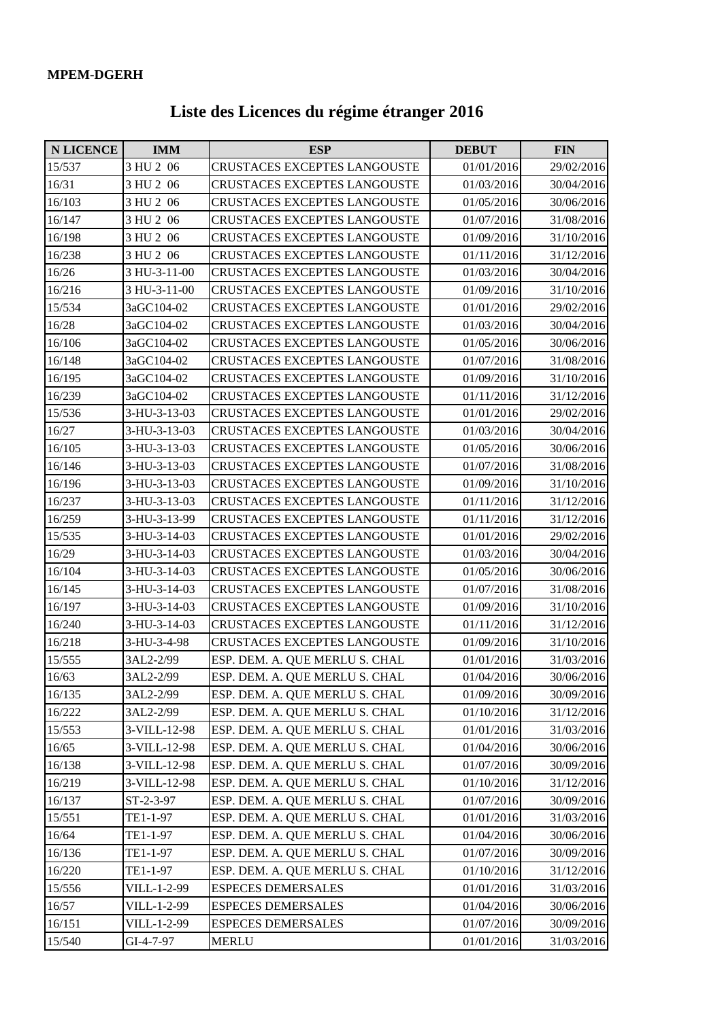## **Liste des Licences du régime étranger 2016**

| <b>N LICENCE</b> | <b>IMM</b>   | <b>ESP</b>                          | <b>DEBUT</b> | <b>FIN</b> |
|------------------|--------------|-------------------------------------|--------------|------------|
| 15/537           | 3 HU 2 06    | CRUSTACES EXCEPTES LANGOUSTE        | 01/01/2016   | 29/02/2016 |
| 16/31            | 3 HU 2 06    | CRUSTACES EXCEPTES LANGOUSTE        | 01/03/2016   | 30/04/2016 |
| 16/103           | 3 HU 2 06    | CRUSTACES EXCEPTES LANGOUSTE        | 01/05/2016   | 30/06/2016 |
| 16/147           | 3 HU 2 06    | <b>CRUSTACES EXCEPTES LANGOUSTE</b> | 01/07/2016   | 31/08/2016 |
| 16/198           | 3 HU 2 06    | CRUSTACES EXCEPTES LANGOUSTE        | 01/09/2016   | 31/10/2016 |
| 16/238           | 3 HU 2 06    | <b>CRUSTACES EXCEPTES LANGOUSTE</b> | 01/11/2016   | 31/12/2016 |
| 16/26            | 3 HU-3-11-00 | <b>CRUSTACES EXCEPTES LANGOUSTE</b> | 01/03/2016   | 30/04/2016 |
| 16/216           | 3 HU-3-11-00 | <b>CRUSTACES EXCEPTES LANGOUSTE</b> | 01/09/2016   | 31/10/2016 |
| 15/534           | 3aGC104-02   | CRUSTACES EXCEPTES LANGOUSTE        | 01/01/2016   | 29/02/2016 |
| 16/28            | 3aGC104-02   | <b>CRUSTACES EXCEPTES LANGOUSTE</b> | 01/03/2016   | 30/04/2016 |
| 16/106           | 3aGC104-02   | <b>CRUSTACES EXCEPTES LANGOUSTE</b> | 01/05/2016   | 30/06/2016 |
| 16/148           | 3aGC104-02   | CRUSTACES EXCEPTES LANGOUSTE        | 01/07/2016   | 31/08/2016 |
| 16/195           | 3aGC104-02   | CRUSTACES EXCEPTES LANGOUSTE        | 01/09/2016   | 31/10/2016 |
| 16/239           | 3aGC104-02   | CRUSTACES EXCEPTES LANGOUSTE        | 01/11/2016   | 31/12/2016 |
| 15/536           | 3-HU-3-13-03 | CRUSTACES EXCEPTES LANGOUSTE        | 01/01/2016   | 29/02/2016 |
| 16/27            | 3-HU-3-13-03 | <b>CRUSTACES EXCEPTES LANGOUSTE</b> | 01/03/2016   | 30/04/2016 |
| 16/105           | 3-HU-3-13-03 | <b>CRUSTACES EXCEPTES LANGOUSTE</b> | 01/05/2016   | 30/06/2016 |
| 16/146           | 3-HU-3-13-03 | <b>CRUSTACES EXCEPTES LANGOUSTE</b> | 01/07/2016   | 31/08/2016 |
| 16/196           | 3-HU-3-13-03 | <b>CRUSTACES EXCEPTES LANGOUSTE</b> | 01/09/2016   | 31/10/2016 |
| 16/237           | 3-HU-3-13-03 | CRUSTACES EXCEPTES LANGOUSTE        | 01/11/2016   | 31/12/2016 |
| 16/259           | 3-HU-3-13-99 | <b>CRUSTACES EXCEPTES LANGOUSTE</b> | 01/11/2016   | 31/12/2016 |
| 15/535           | 3-HU-3-14-03 | <b>CRUSTACES EXCEPTES LANGOUSTE</b> | 01/01/2016   | 29/02/2016 |
| 16/29            | 3-HU-3-14-03 | <b>CRUSTACES EXCEPTES LANGOUSTE</b> | 01/03/2016   | 30/04/2016 |
| 16/104           | 3-HU-3-14-03 | <b>CRUSTACES EXCEPTES LANGOUSTE</b> | 01/05/2016   | 30/06/2016 |
| 16/145           | 3-HU-3-14-03 | <b>CRUSTACES EXCEPTES LANGOUSTE</b> | 01/07/2016   | 31/08/2016 |
| 16/197           | 3-HU-3-14-03 | <b>CRUSTACES EXCEPTES LANGOUSTE</b> | 01/09/2016   | 31/10/2016 |
| 16/240           | 3-HU-3-14-03 | CRUSTACES EXCEPTES LANGOUSTE        | 01/11/2016   | 31/12/2016 |
| 16/218           | 3-HU-3-4-98  | CRUSTACES EXCEPTES LANGOUSTE        | 01/09/2016   | 31/10/2016 |
| 15/555           | 3AL2-2/99    | ESP. DEM. A. QUE MERLU S. CHAL      | 01/01/2016   | 31/03/2016 |
| 16/63            | 3AL2-2/99    | ESP. DEM. A. QUE MERLU S. CHAL      | 01/04/2016   | 30/06/2016 |
| 16/135           | 3AL2-2/99    | ESP. DEM. A. QUE MERLU S. CHAL      | 01/09/2016   | 30/09/2016 |
| 16/222           | 3AL2-2/99    | ESP. DEM. A. QUE MERLU S. CHAL      | 01/10/2016   | 31/12/2016 |
| 15/553           | 3-VILL-12-98 | ESP. DEM. A. QUE MERLU S. CHAL      | 01/01/2016   | 31/03/2016 |
| 16/65            | 3-VILL-12-98 | ESP. DEM. A. QUE MERLU S. CHAL      | 01/04/2016   | 30/06/2016 |
| 16/138           | 3-VILL-12-98 | ESP. DEM. A. QUE MERLU S. CHAL      | 01/07/2016   | 30/09/2016 |
| 16/219           | 3-VILL-12-98 | ESP. DEM. A. QUE MERLU S. CHAL      | 01/10/2016   | 31/12/2016 |
| 16/137           | ST-2-3-97    | ESP. DEM. A. QUE MERLU S. CHAL      | 01/07/2016   | 30/09/2016 |
| 15/551           | TE1-1-97     | ESP. DEM. A. QUE MERLU S. CHAL      | 01/01/2016   | 31/03/2016 |
| 16/64            | TE1-1-97     | ESP. DEM. A. QUE MERLU S. CHAL      | 01/04/2016   | 30/06/2016 |
| 16/136           | TE1-1-97     | ESP. DEM. A. QUE MERLU S. CHAL      | 01/07/2016   | 30/09/2016 |
| 16/220           | TE1-1-97     | ESP. DEM. A. QUE MERLU S. CHAL      | 01/10/2016   | 31/12/2016 |
| 15/556           | VILL-1-2-99  | <b>ESPECES DEMERSALES</b>           | 01/01/2016   | 31/03/2016 |
| 16/57            | VILL-1-2-99  | <b>ESPECES DEMERSALES</b>           | 01/04/2016   | 30/06/2016 |
| 16/151           | VILL-1-2-99  | <b>ESPECES DEMERSALES</b>           | 01/07/2016   | 30/09/2016 |
| 15/540           | GI-4-7-97    | <b>MERLU</b>                        | 01/01/2016   | 31/03/2016 |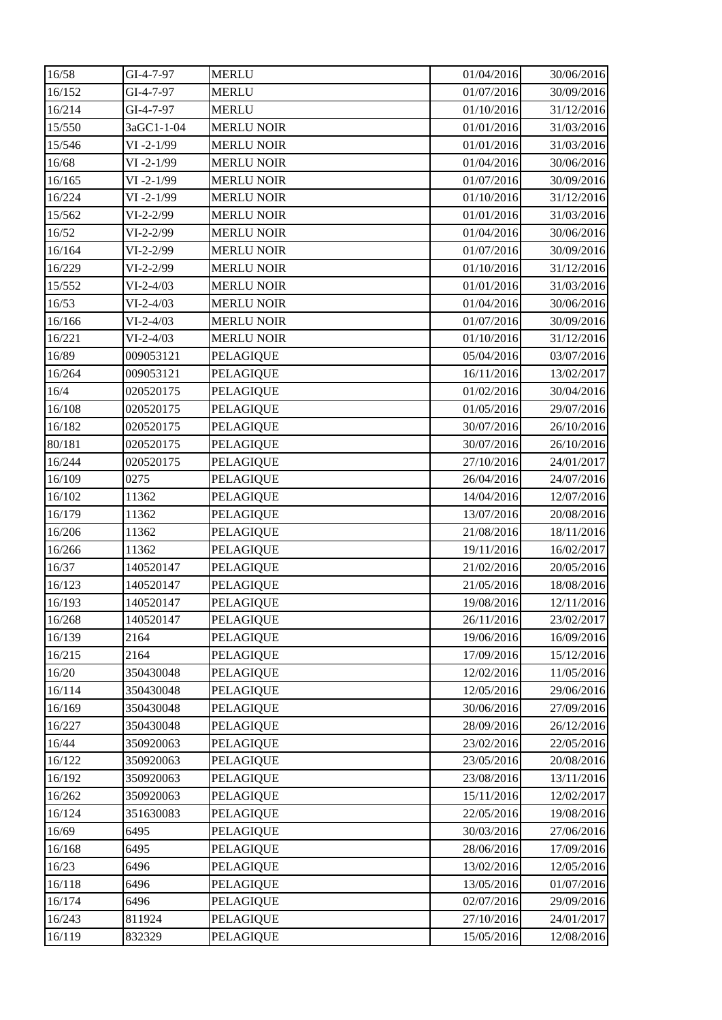| 16/58  | GI-4-7-97     | <b>MERLU</b>      | 01/04/2016 | 30/06/2016 |
|--------|---------------|-------------------|------------|------------|
| 16/152 | GI-4-7-97     | <b>MERLU</b>      | 01/07/2016 | 30/09/2016 |
| 16/214 | GI-4-7-97     | <b>MERLU</b>      | 01/10/2016 | 31/12/2016 |
| 15/550 | 3aGC1-1-04    | <b>MERLU NOIR</b> | 01/01/2016 | 31/03/2016 |
| 15/546 | $VI - 2-1/99$ | <b>MERLU NOIR</b> | 01/01/2016 | 31/03/2016 |
| 16/68  | $VI - 2-1/99$ | <b>MERLU NOIR</b> | 01/04/2016 | 30/06/2016 |
| 16/165 | $VI - 2-1/99$ | <b>MERLU NOIR</b> | 01/07/2016 | 30/09/2016 |
| 16/224 | $VI - 2-1/99$ | <b>MERLU NOIR</b> | 01/10/2016 | 31/12/2016 |
| 15/562 | $VI-2-2/99$   | <b>MERLU NOIR</b> | 01/01/2016 | 31/03/2016 |
| 16/52  | $VI-2-2/99$   | <b>MERLU NOIR</b> | 01/04/2016 | 30/06/2016 |
| 16/164 | $VI-2-2/99$   | <b>MERLU NOIR</b> | 01/07/2016 | 30/09/2016 |
| 16/229 | $VI-2-2/99$   | <b>MERLU NOIR</b> | 01/10/2016 | 31/12/2016 |
| 15/552 | $VI-2-4/03$   | <b>MERLU NOIR</b> | 01/01/2016 | 31/03/2016 |
| 16/53  | $VI-2-4/03$   | <b>MERLU NOIR</b> | 01/04/2016 | 30/06/2016 |
| 16/166 | $VI-2-4/03$   | <b>MERLU NOIR</b> | 01/07/2016 | 30/09/2016 |
| 16/221 | $VI-2-4/03$   | <b>MERLU NOIR</b> | 01/10/2016 | 31/12/2016 |
| 16/89  | 009053121     | <b>PELAGIQUE</b>  | 05/04/2016 | 03/07/2016 |
| 16/264 | 009053121     | <b>PELAGIQUE</b>  | 16/11/2016 | 13/02/2017 |
| 16/4   | 020520175     | <b>PELAGIQUE</b>  | 01/02/2016 | 30/04/2016 |
| 16/108 | 020520175     | <b>PELAGIQUE</b>  | 01/05/2016 | 29/07/2016 |
| 16/182 | 020520175     | <b>PELAGIQUE</b>  | 30/07/2016 | 26/10/2016 |
| 80/181 | 020520175     | <b>PELAGIQUE</b>  | 30/07/2016 | 26/10/2016 |
| 16/244 | 020520175     | <b>PELAGIQUE</b>  | 27/10/2016 | 24/01/2017 |
| 16/109 | 0275          | <b>PELAGIQUE</b>  | 26/04/2016 | 24/07/2016 |
| 16/102 | 11362         | <b>PELAGIQUE</b>  | 14/04/2016 | 12/07/2016 |
| 16/179 | 11362         | <b>PELAGIQUE</b>  | 13/07/2016 | 20/08/2016 |
| 16/206 | 11362         | <b>PELAGIQUE</b>  | 21/08/2016 | 18/11/2016 |
| 16/266 | 11362         | <b>PELAGIQUE</b>  | 19/11/2016 | 16/02/2017 |
| 16/37  | 140520147     | <b>PELAGIQUE</b>  | 21/02/2016 | 20/05/2016 |
| 16/123 | 140520147     | <b>PELAGIQUE</b>  | 21/05/2016 | 18/08/2016 |
| 16/193 | 140520147     | <b>PELAGIQUE</b>  | 19/08/2016 | 12/11/2016 |
| 16/268 | 140520147     | <b>PELAGIQUE</b>  | 26/11/2016 | 23/02/2017 |
| 16/139 | 2164          | <b>PELAGIQUE</b>  | 19/06/2016 | 16/09/2016 |
| 16/215 | 2164          | <b>PELAGIQUE</b>  | 17/09/2016 | 15/12/2016 |
| 16/20  | 350430048     | <b>PELAGIQUE</b>  | 12/02/2016 | 11/05/2016 |
| 16/114 | 350430048     | <b>PELAGIQUE</b>  | 12/05/2016 | 29/06/2016 |
| 16/169 | 350430048     | <b>PELAGIQUE</b>  | 30/06/2016 | 27/09/2016 |
| 16/227 | 350430048     | <b>PELAGIQUE</b>  | 28/09/2016 | 26/12/2016 |
| 16/44  | 350920063     | <b>PELAGIQUE</b>  | 23/02/2016 | 22/05/2016 |
| 16/122 | 350920063     | <b>PELAGIQUE</b>  | 23/05/2016 | 20/08/2016 |
| 16/192 | 350920063     | <b>PELAGIQUE</b>  | 23/08/2016 | 13/11/2016 |
| 16/262 | 350920063     | PELAGIQUE         | 15/11/2016 | 12/02/2017 |
| 16/124 | 351630083     | <b>PELAGIQUE</b>  | 22/05/2016 | 19/08/2016 |
| 16/69  | 6495          | PELAGIQUE         | 30/03/2016 | 27/06/2016 |
| 16/168 | 6495          | <b>PELAGIQUE</b>  | 28/06/2016 | 17/09/2016 |
| 16/23  | 6496          | <b>PELAGIQUE</b>  | 13/02/2016 | 12/05/2016 |
| 16/118 | 6496          | <b>PELAGIQUE</b>  | 13/05/2016 | 01/07/2016 |
| 16/174 | 6496          | <b>PELAGIQUE</b>  | 02/07/2016 | 29/09/2016 |
| 16/243 | 811924        | <b>PELAGIQUE</b>  | 27/10/2016 | 24/01/2017 |
| 16/119 | 832329        | <b>PELAGIQUE</b>  | 15/05/2016 | 12/08/2016 |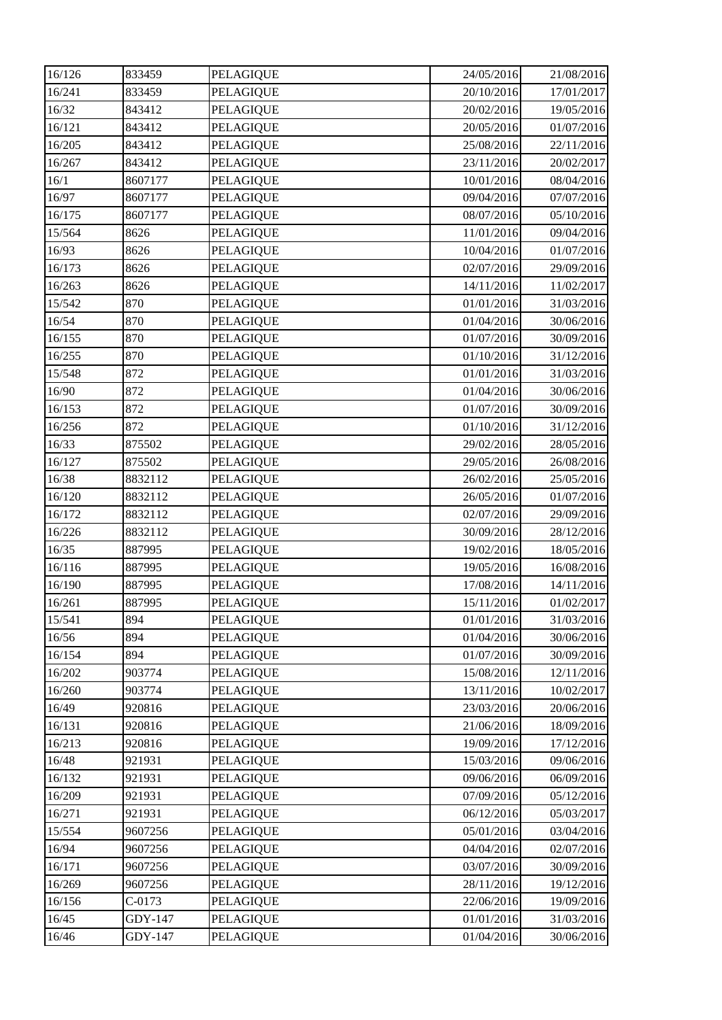| 16/126 | 833459   | <b>PELAGIQUE</b> | 24/05/2016 | 21/08/2016 |
|--------|----------|------------------|------------|------------|
| 16/241 | 833459   | <b>PELAGIQUE</b> | 20/10/2016 | 17/01/2017 |
| 16/32  | 843412   | <b>PELAGIQUE</b> | 20/02/2016 | 19/05/2016 |
| 16/121 | 843412   | <b>PELAGIQUE</b> | 20/05/2016 | 01/07/2016 |
| 16/205 | 843412   | <b>PELAGIQUE</b> | 25/08/2016 | 22/11/2016 |
| 16/267 | 843412   | <b>PELAGIQUE</b> | 23/11/2016 | 20/02/2017 |
| 16/1   | 8607177  | <b>PELAGIQUE</b> | 10/01/2016 | 08/04/2016 |
| 16/97  | 8607177  | <b>PELAGIQUE</b> | 09/04/2016 | 07/07/2016 |
| 16/175 | 8607177  | <b>PELAGIQUE</b> | 08/07/2016 | 05/10/2016 |
| 15/564 | 8626     | <b>PELAGIQUE</b> | 11/01/2016 | 09/04/2016 |
| 16/93  | 8626     | PELAGIQUE        | 10/04/2016 | 01/07/2016 |
| 16/173 | 8626     | <b>PELAGIQUE</b> | 02/07/2016 | 29/09/2016 |
| 16/263 | 8626     | <b>PELAGIQUE</b> | 14/11/2016 | 11/02/2017 |
| 15/542 | 870      | <b>PELAGIQUE</b> | 01/01/2016 | 31/03/2016 |
| 16/54  | 870      | <b>PELAGIQUE</b> | 01/04/2016 | 30/06/2016 |
| 16/155 | 870      | PELAGIQUE        | 01/07/2016 | 30/09/2016 |
| 16/255 | 870      | <b>PELAGIQUE</b> | 01/10/2016 | 31/12/2016 |
| 15/548 | 872      | <b>PELAGIQUE</b> | 01/01/2016 | 31/03/2016 |
| 16/90  | 872      | <b>PELAGIQUE</b> | 01/04/2016 | 30/06/2016 |
| 16/153 | 872      | <b>PELAGIQUE</b> | 01/07/2016 | 30/09/2016 |
| 16/256 | 872      | <b>PELAGIQUE</b> | 01/10/2016 | 31/12/2016 |
| 16/33  | 875502   | <b>PELAGIQUE</b> | 29/02/2016 | 28/05/2016 |
| 16/127 | 875502   | <b>PELAGIQUE</b> | 29/05/2016 | 26/08/2016 |
| 16/38  | 8832112  | <b>PELAGIQUE</b> | 26/02/2016 | 25/05/2016 |
| 16/120 | 8832112  | <b>PELAGIQUE</b> | 26/05/2016 | 01/07/2016 |
| 16/172 | 8832112  | <b>PELAGIQUE</b> | 02/07/2016 | 29/09/2016 |
| 16/226 | 8832112  | <b>PELAGIQUE</b> | 30/09/2016 | 28/12/2016 |
| 16/35  | 887995   | <b>PELAGIQUE</b> | 19/02/2016 | 18/05/2016 |
| 16/116 | 887995   | <b>PELAGIQUE</b> | 19/05/2016 | 16/08/2016 |
| 16/190 | 887995   | <b>PELAGIQUE</b> | 17/08/2016 | 14/11/2016 |
| 16/261 | 887995   | <b>PELAGIQUE</b> | 15/11/2016 | 01/02/2017 |
| 15/541 | 894      | <b>PELAGIQUE</b> | 01/01/2016 | 31/03/2016 |
| 16/56  | 894      | <b>PELAGIQUE</b> | 01/04/2016 | 30/06/2016 |
| 16/154 | 894      | <b>PELAGIQUE</b> | 01/07/2016 | 30/09/2016 |
| 16/202 | 903774   | <b>PELAGIQUE</b> | 15/08/2016 | 12/11/2016 |
| 16/260 | 903774   | PELAGIQUE        | 13/11/2016 | 10/02/2017 |
| 16/49  | 920816   | <b>PELAGIQUE</b> | 23/03/2016 | 20/06/2016 |
| 16/131 | 920816   | <b>PELAGIQUE</b> | 21/06/2016 | 18/09/2016 |
| 16/213 | 920816   | <b>PELAGIQUE</b> | 19/09/2016 | 17/12/2016 |
| 16/48  | 921931   | <b>PELAGIQUE</b> | 15/03/2016 | 09/06/2016 |
| 16/132 | 921931   | <b>PELAGIQUE</b> | 09/06/2016 | 06/09/2016 |
| 16/209 | 921931   | PELAGIQUE        | 07/09/2016 | 05/12/2016 |
| 16/271 | 921931   | <b>PELAGIQUE</b> | 06/12/2016 | 05/03/2017 |
| 15/554 | 9607256  | <b>PELAGIQUE</b> | 05/01/2016 | 03/04/2016 |
| 16/94  | 9607256  | <b>PELAGIQUE</b> | 04/04/2016 | 02/07/2016 |
| 16/171 | 9607256  | <b>PELAGIQUE</b> | 03/07/2016 | 30/09/2016 |
| 16/269 | 9607256  | <b>PELAGIQUE</b> | 28/11/2016 | 19/12/2016 |
| 16/156 | $C-0173$ | <b>PELAGIQUE</b> | 22/06/2016 | 19/09/2016 |
| 16/45  | GDY-147  | <b>PELAGIQUE</b> | 01/01/2016 | 31/03/2016 |
| 16/46  | GDY-147  | <b>PELAGIQUE</b> | 01/04/2016 | 30/06/2016 |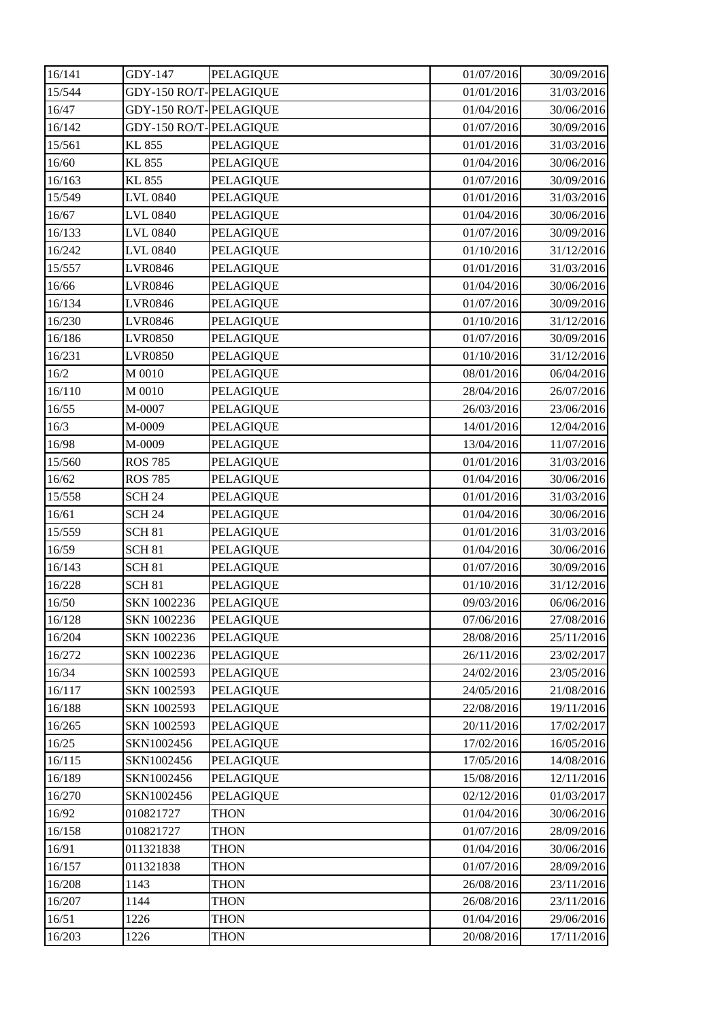| 16/141 | GDY-147                | <b>PELAGIQUE</b> | 01/07/2016 | 30/09/2016 |
|--------|------------------------|------------------|------------|------------|
| 15/544 | GDY-150 RO/T-PELAGIQUE |                  | 01/01/2016 | 31/03/2016 |
| 16/47  | GDY-150 RO/T-PELAGIQUE |                  | 01/04/2016 | 30/06/2016 |
| 16/142 | GDY-150 RO/T-PELAGIQUE |                  | 01/07/2016 | 30/09/2016 |
| 15/561 | KL 855                 | <b>PELAGIQUE</b> | 01/01/2016 | 31/03/2016 |
| 16/60  | KL 855                 | <b>PELAGIQUE</b> | 01/04/2016 | 30/06/2016 |
| 16/163 | KL 855                 | PELAGIQUE        | 01/07/2016 | 30/09/2016 |
| 15/549 | LVL 0840               | <b>PELAGIQUE</b> | 01/01/2016 | 31/03/2016 |
| 16/67  | <b>LVL 0840</b>        | <b>PELAGIQUE</b> | 01/04/2016 | 30/06/2016 |
| 16/133 | LVL 0840               | <b>PELAGIQUE</b> | 01/07/2016 | 30/09/2016 |
| 16/242 | LVL 0840               | <b>PELAGIQUE</b> | 01/10/2016 | 31/12/2016 |
| 15/557 | <b>LVR0846</b>         | <b>PELAGIQUE</b> | 01/01/2016 | 31/03/2016 |
| 16/66  | <b>LVR0846</b>         | <b>PELAGIQUE</b> | 01/04/2016 | 30/06/2016 |
| 16/134 | <b>LVR0846</b>         | <b>PELAGIQUE</b> | 01/07/2016 | 30/09/2016 |
| 16/230 | <b>LVR0846</b>         | <b>PELAGIQUE</b> | 01/10/2016 | 31/12/2016 |
| 16/186 | <b>LVR0850</b>         | <b>PELAGIQUE</b> | 01/07/2016 | 30/09/2016 |
| 16/231 | <b>LVR0850</b>         | <b>PELAGIQUE</b> | 01/10/2016 | 31/12/2016 |
| 16/2   | M 0010                 | <b>PELAGIQUE</b> | 08/01/2016 | 06/04/2016 |
| 16/110 | M 0010                 | <b>PELAGIQUE</b> | 28/04/2016 | 26/07/2016 |
| 16/55  | M-0007                 | <b>PELAGIQUE</b> | 26/03/2016 | 23/06/2016 |
| 16/3   | M-0009                 | <b>PELAGIQUE</b> | 14/01/2016 | 12/04/2016 |
| 16/98  | M-0009                 | PELAGIQUE        | 13/04/2016 | 11/07/2016 |
| 15/560 | <b>ROS 785</b>         | <b>PELAGIQUE</b> | 01/01/2016 | 31/03/2016 |
| 16/62  | <b>ROS 785</b>         | <b>PELAGIQUE</b> | 01/04/2016 | 30/06/2016 |
| 15/558 | <b>SCH 24</b>          | PELAGIQUE        | 01/01/2016 | 31/03/2016 |
| 16/61  | <b>SCH 24</b>          | PELAGIQUE        | 01/04/2016 | 30/06/2016 |
| 15/559 | <b>SCH 81</b>          | <b>PELAGIQUE</b> | 01/01/2016 | 31/03/2016 |
| 16/59  | <b>SCH 81</b>          | <b>PELAGIQUE</b> | 01/04/2016 | 30/06/2016 |
| 16/143 | <b>SCH 81</b>          | <b>PELAGIQUE</b> | 01/07/2016 | 30/09/2016 |
| 16/228 | <b>SCH 81</b>          | <b>PELAGIQUE</b> | 01/10/2016 | 31/12/2016 |
| 16/50  | SKN 1002236            | <b>PELAGIQUE</b> | 09/03/2016 | 06/06/2016 |
| 16/128 | SKN 1002236            | <b>PELAGIQUE</b> | 07/06/2016 | 27/08/2016 |
| 16/204 | SKN 1002236            | <b>PELAGIQUE</b> | 28/08/2016 | 25/11/2016 |
| 16/272 | SKN 1002236            | <b>PELAGIQUE</b> | 26/11/2016 | 23/02/2017 |
| 16/34  | SKN 1002593            | <b>PELAGIQUE</b> | 24/02/2016 | 23/05/2016 |
| 16/117 | SKN 1002593            | <b>PELAGIQUE</b> | 24/05/2016 | 21/08/2016 |
| 16/188 | SKN 1002593            | <b>PELAGIQUE</b> | 22/08/2016 | 19/11/2016 |
| 16/265 | SKN 1002593            | <b>PELAGIQUE</b> | 20/11/2016 | 17/02/2017 |
| 16/25  | SKN1002456             | <b>PELAGIQUE</b> | 17/02/2016 | 16/05/2016 |
| 16/115 | SKN1002456             | <b>PELAGIQUE</b> | 17/05/2016 | 14/08/2016 |
| 16/189 | SKN1002456             | <b>PELAGIQUE</b> | 15/08/2016 | 12/11/2016 |
| 16/270 | SKN1002456             | <b>PELAGIQUE</b> | 02/12/2016 | 01/03/2017 |
| 16/92  | 010821727              | <b>THON</b>      | 01/04/2016 | 30/06/2016 |
| 16/158 | 010821727              | <b>THON</b>      | 01/07/2016 | 28/09/2016 |
| 16/91  | 011321838              | <b>THON</b>      | 01/04/2016 | 30/06/2016 |
| 16/157 | 011321838              | <b>THON</b>      | 01/07/2016 | 28/09/2016 |
| 16/208 | 1143                   | <b>THON</b>      | 26/08/2016 | 23/11/2016 |
| 16/207 | 1144                   | <b>THON</b>      | 26/08/2016 | 23/11/2016 |
| 16/51  | 1226                   | <b>THON</b>      | 01/04/2016 | 29/06/2016 |
| 16/203 | 1226                   | <b>THON</b>      | 20/08/2016 | 17/11/2016 |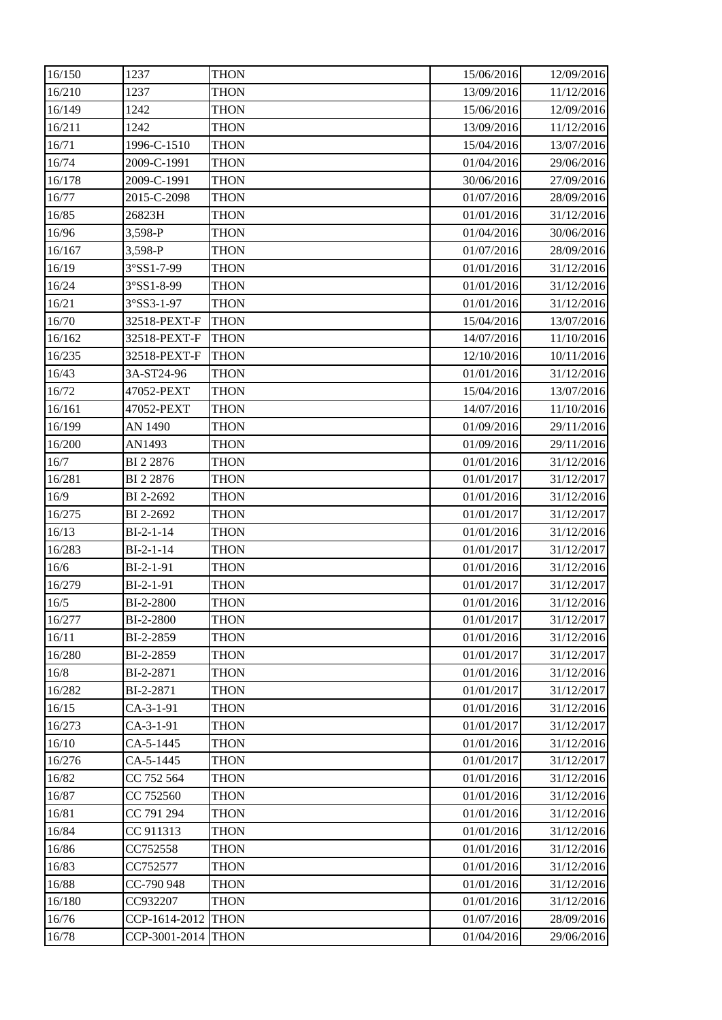| 16/150 | 1237               | <b>THON</b> | 15/06/2016 | 12/09/2016 |
|--------|--------------------|-------------|------------|------------|
| 16/210 | 1237               | <b>THON</b> | 13/09/2016 | 11/12/2016 |
| 16/149 | 1242               | <b>THON</b> | 15/06/2016 | 12/09/2016 |
| 16/211 | 1242               | <b>THON</b> | 13/09/2016 | 11/12/2016 |
| 16/71  | 1996-C-1510        | <b>THON</b> | 15/04/2016 | 13/07/2016 |
| 16/74  | 2009-C-1991        | <b>THON</b> | 01/04/2016 | 29/06/2016 |
| 16/178 | 2009-C-1991        | <b>THON</b> | 30/06/2016 | 27/09/2016 |
| 16/77  | 2015-C-2098        | <b>THON</b> | 01/07/2016 | 28/09/2016 |
| 16/85  | 26823H             | <b>THON</b> | 01/01/2016 | 31/12/2016 |
| 16/96  | 3,598-P            | <b>THON</b> | 01/04/2016 | 30/06/2016 |
| 16/167 | 3,598-P            | <b>THON</b> | 01/07/2016 | 28/09/2016 |
| 16/19  | 3°SS1-7-99         | <b>THON</b> | 01/01/2016 | 31/12/2016 |
| 16/24  | 3°SS1-8-99         | <b>THON</b> | 01/01/2016 | 31/12/2016 |
| 16/21  | 3°SS3-1-97         | <b>THON</b> | 01/01/2016 | 31/12/2016 |
| 16/70  | 32518-PEXT-F       | <b>THON</b> | 15/04/2016 | 13/07/2016 |
| 16/162 | 32518-PEXT-F       | <b>THON</b> | 14/07/2016 | 11/10/2016 |
| 16/235 | 32518-PEXT-F       | <b>THON</b> | 12/10/2016 | 10/11/2016 |
| 16/43  | 3A-ST24-96         | <b>THON</b> | 01/01/2016 | 31/12/2016 |
| 16/72  | 47052-PEXT         | <b>THON</b> | 15/04/2016 | 13/07/2016 |
| 16/161 | 47052-PEXT         | <b>THON</b> | 14/07/2016 | 11/10/2016 |
| 16/199 | AN 1490            | <b>THON</b> | 01/09/2016 | 29/11/2016 |
| 16/200 | AN1493             | THON        | 01/09/2016 | 29/11/2016 |
| 16/7   | BI 2 2876          | <b>THON</b> | 01/01/2016 | 31/12/2016 |
| 16/281 | BI 2 2876          | <b>THON</b> | 01/01/2017 | 31/12/2017 |
| 16/9   | BI 2-2692          | <b>THON</b> | 01/01/2016 | 31/12/2016 |
| 16/275 | BI 2-2692          | <b>THON</b> | 01/01/2017 | 31/12/2017 |
| 16/13  | $BI-2-1-14$        | <b>THON</b> | 01/01/2016 | 31/12/2016 |
| 16/283 | $BI-2-1-14$        | <b>THON</b> | 01/01/2017 | 31/12/2017 |
| 16/6   | BI-2-1-91          | <b>THON</b> | 01/01/2016 | 31/12/2016 |
| 16/279 | BI-2-1-91          | <b>THON</b> | 01/01/2017 | 31/12/2017 |
| 16/5   | BI-2-2800          | <b>THON</b> | 01/01/2016 | 31/12/2016 |
| 16/277 | BI-2-2800          | <b>THON</b> | 01/01/2017 | 31/12/2017 |
| 16/11  | BI-2-2859          | <b>THON</b> | 01/01/2016 | 31/12/2016 |
| 16/280 | BI-2-2859          | <b>THON</b> | 01/01/2017 | 31/12/2017 |
| 16/8   | BI-2-2871          | <b>THON</b> | 01/01/2016 | 31/12/2016 |
| 16/282 | BI-2-2871          | <b>THON</b> | 01/01/2017 | 31/12/2017 |
| 16/15  | $CA-3-1-91$        | <b>THON</b> | 01/01/2016 | 31/12/2016 |
| 16/273 | $CA-3-1-91$        | <b>THON</b> | 01/01/2017 | 31/12/2017 |
| 16/10  | CA-5-1445          | <b>THON</b> | 01/01/2016 | 31/12/2016 |
| 16/276 | CA-5-1445          | <b>THON</b> | 01/01/2017 | 31/12/2017 |
| 16/82  | CC 752 564         | <b>THON</b> | 01/01/2016 | 31/12/2016 |
| 16/87  | CC 752560          | <b>THON</b> | 01/01/2016 | 31/12/2016 |
| 16/81  | CC 791 294         | <b>THON</b> | 01/01/2016 | 31/12/2016 |
| 16/84  | CC 911313          | <b>THON</b> | 01/01/2016 | 31/12/2016 |
| 16/86  | CC752558           | <b>THON</b> | 01/01/2016 | 31/12/2016 |
| 16/83  | CC752577           | <b>THON</b> | 01/01/2016 | 31/12/2016 |
| 16/88  | CC-790 948         | <b>THON</b> | 01/01/2016 | 31/12/2016 |
| 16/180 | CC932207           | <b>THON</b> | 01/01/2016 | 31/12/2016 |
| 16/76  | CCP-1614-2012 THON |             | 01/07/2016 | 28/09/2016 |
| 16/78  | CCP-3001-2014      | <b>THON</b> | 01/04/2016 | 29/06/2016 |